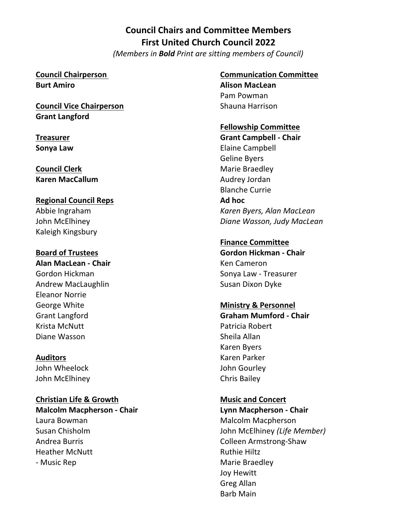# **Council Chairs and Committee Members First United Church Council 2022** *(Members in Bold Print are sitting members of Council)*

#### **Council Chairperson Burt Amiro**

**Council Vice Chairperson Grant Langford** 

**Treasurer Sonya Law**

**Council Clerk Karen MacCallum** 

**Regional Council Reps** Abbie Ingraham John McElhiney Kaleigh Kingsbury

**Board of Trustees Alan MacLean - Chair** Gordon Hickman Andrew MacLaughlin Eleanor Norrie George White Grant Langford Krista McNutt Diane Wasson

**Auditors** John Wheelock John McElhiney

**Christian Life & Growth Malcolm Macpherson - Chair** Laura Bowman Susan Chisholm Andrea Burris Heather McNutt - Music Rep

# **Communication Committee**

**Alison MacLean**  Pam Powman Shauna Harrison

### **Fellowship Committee**

**Grant Campbell - Chair** Elaine Campbell Geline Byers Marie Braedley Audrey Jordan Blanche Currie **Ad hoc** *Karen Byers, Alan MacLean Diane Wasson, Judy MacLean*

#### **Finance Committee**

**Gordon Hickman - Chair**  Ken Cameron Sonya Law - Treasurer Susan Dixon Dyke

### **Ministry & Personnel**

**Graham Mumford - Chair**  Patricia Robert Sheila Allan Karen Byers Karen Parker John Gourley Chris Bailey

**Music and Concert Lynn Macpherson - Chair** Malcolm Macpherson John McElhiney *(Life Member)* Colleen Armstrong-Shaw Ruthie Hiltz Marie Braedley Joy Hewitt Greg Allan Barb Main